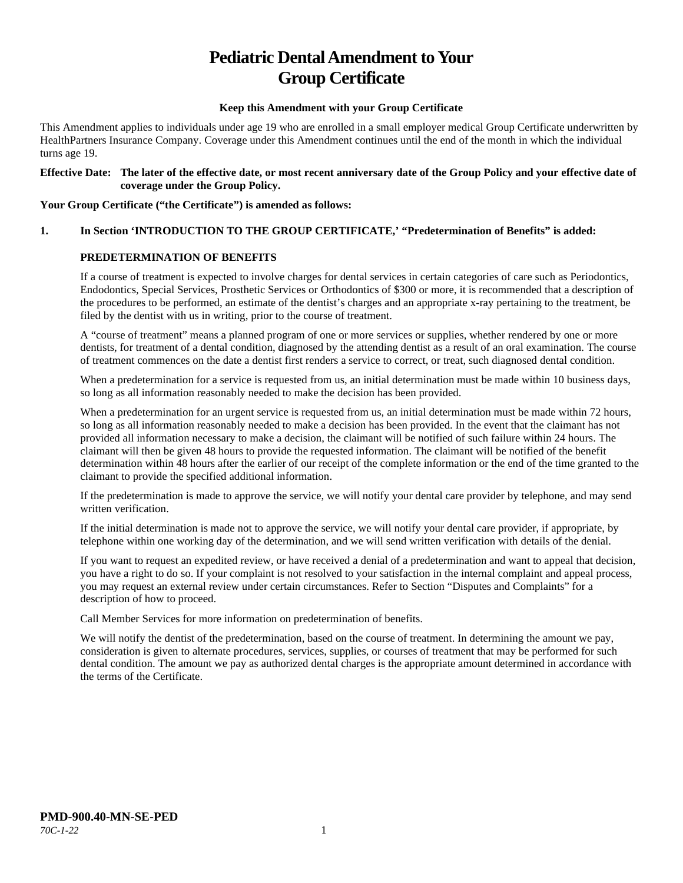# **Pediatric Dental Amendment to Your Group Certificate**

#### **Keep this Amendment with your Group Certificate**

This Amendment applies to individuals under age 19 who are enrolled in a small employer medical Group Certificate underwritten by HealthPartners Insurance Company. Coverage under this Amendment continues until the end of the month in which the individual turns age 19.

#### **Effective Date: The later of the effective date, or most recent anniversary date of the Group Policy and your effective date of coverage under the Group Policy.**

#### **Your Group Certificate ("the Certificate") is amended as follows:**

## **1. In Section 'INTRODUCTION TO THE GROUP CERTIFICATE,' "Predetermination of Benefits" is added:**

#### **PREDETERMINATION OF BENEFITS**

If a course of treatment is expected to involve charges for dental services in certain categories of care such as Periodontics, Endodontics, Special Services, Prosthetic Services or Orthodontics of \$300 or more, it is recommended that a description of the procedures to be performed, an estimate of the dentist's charges and an appropriate x-ray pertaining to the treatment, be filed by the dentist with us in writing, prior to the course of treatment.

A "course of treatment" means a planned program of one or more services or supplies, whether rendered by one or more dentists, for treatment of a dental condition, diagnosed by the attending dentist as a result of an oral examination. The course of treatment commences on the date a dentist first renders a service to correct, or treat, such diagnosed dental condition.

When a predetermination for a service is requested from us, an initial determination must be made within 10 business days, so long as all information reasonably needed to make the decision has been provided.

When a predetermination for an urgent service is requested from us, an initial determination must be made within 72 hours, so long as all information reasonably needed to make a decision has been provided. In the event that the claimant has not provided all information necessary to make a decision, the claimant will be notified of such failure within 24 hours. The claimant will then be given 48 hours to provide the requested information. The claimant will be notified of the benefit determination within 48 hours after the earlier of our receipt of the complete information or the end of the time granted to the claimant to provide the specified additional information.

If the predetermination is made to approve the service, we will notify your dental care provider by telephone, and may send written verification.

If the initial determination is made not to approve the service, we will notify your dental care provider, if appropriate, by telephone within one working day of the determination, and we will send written verification with details of the denial.

If you want to request an expedited review, or have received a denial of a predetermination and want to appeal that decision, you have a right to do so. If your complaint is not resolved to your satisfaction in the internal complaint and appeal process, you may request an external review under certain circumstances. Refer to Section "Disputes and Complaints" for a description of how to proceed.

Call Member Services for more information on predetermination of benefits.

We will notify the dentist of the predetermination, based on the course of treatment. In determining the amount we pay, consideration is given to alternate procedures, services, supplies, or courses of treatment that may be performed for such dental condition. The amount we pay as authorized dental charges is the appropriate amount determined in accordance with the terms of the Certificate.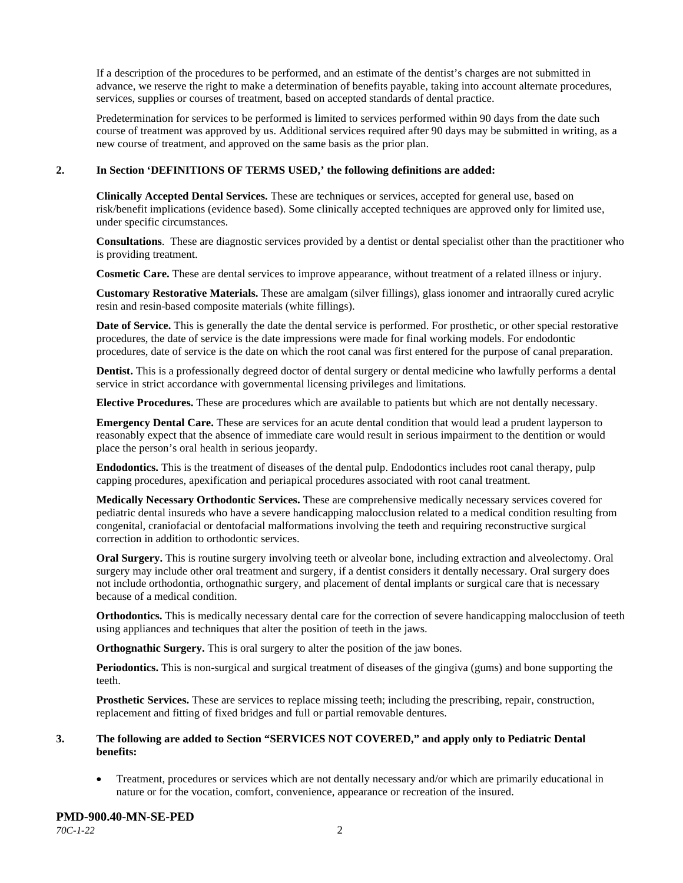If a description of the procedures to be performed, and an estimate of the dentist's charges are not submitted in advance, we reserve the right to make a determination of benefits payable, taking into account alternate procedures, services, supplies or courses of treatment, based on accepted standards of dental practice.

Predetermination for services to be performed is limited to services performed within 90 days from the date such course of treatment was approved by us. Additional services required after 90 days may be submitted in writing, as a new course of treatment, and approved on the same basis as the prior plan.

#### **2. In Section 'DEFINITIONS OF TERMS USED,' the following definitions are added:**

**Clinically Accepted Dental Services.** These are techniques or services, accepted for general use, based on risk/benefit implications (evidence based). Some clinically accepted techniques are approved only for limited use, under specific circumstances.

**Consultations**. These are diagnostic services provided by a dentist or dental specialist other than the practitioner who is providing treatment.

**Cosmetic Care.** These are dental services to improve appearance, without treatment of a related illness or injury.

**Customary Restorative Materials.** These are amalgam (silver fillings), glass ionomer and intraorally cured acrylic resin and resin-based composite materials (white fillings).

**Date of Service.** This is generally the date the dental service is performed. For prosthetic, or other special restorative procedures, the date of service is the date impressions were made for final working models. For endodontic procedures, date of service is the date on which the root canal was first entered for the purpose of canal preparation.

**Dentist.** This is a professionally degreed doctor of dental surgery or dental medicine who lawfully performs a dental service in strict accordance with governmental licensing privileges and limitations.

**Elective Procedures.** These are procedures which are available to patients but which are not dentally necessary.

**Emergency Dental Care.** These are services for an acute dental condition that would lead a prudent layperson to reasonably expect that the absence of immediate care would result in serious impairment to the dentition or would place the person's oral health in serious jeopardy.

**Endodontics.** This is the treatment of diseases of the dental pulp. Endodontics includes root canal therapy, pulp capping procedures, apexification and periapical procedures associated with root canal treatment.

**Medically Necessary Orthodontic Services.** These are comprehensive medically necessary services covered for pediatric dental insureds who have a severe handicapping malocclusion related to a medical condition resulting from congenital, craniofacial or dentofacial malformations involving the teeth and requiring reconstructive surgical correction in addition to orthodontic services.

**Oral Surgery.** This is routine surgery involving teeth or alveolar bone, including extraction and alveolectomy. Oral surgery may include other oral treatment and surgery, if a dentist considers it dentally necessary. Oral surgery does not include orthodontia, orthognathic surgery, and placement of dental implants or surgical care that is necessary because of a medical condition.

**Orthodontics.** This is medically necessary dental care for the correction of severe handicapping malocclusion of teeth using appliances and techniques that alter the position of teeth in the jaws.

**Orthognathic Surgery.** This is oral surgery to alter the position of the jaw bones.

**Periodontics.** This is non-surgical and surgical treatment of diseases of the gingiva (gums) and bone supporting the teeth.

**Prosthetic Services.** These are services to replace missing teeth; including the prescribing, repair, construction, replacement and fitting of fixed bridges and full or partial removable dentures.

#### **3. The following are added to Section "SERVICES NOT COVERED," and apply only to Pediatric Dental benefits:**

• Treatment, procedures or services which are not dentally necessary and/or which are primarily educational in nature or for the vocation, comfort, convenience, appearance or recreation of the insured.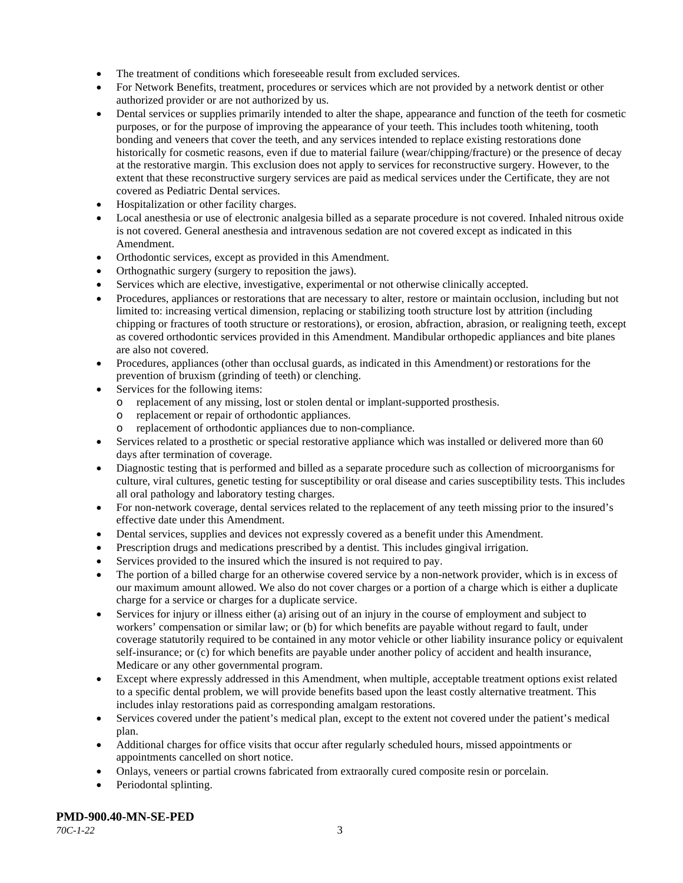- The treatment of conditions which foreseeable result from excluded services.
- For Network Benefits, treatment, procedures or services which are not provided by a network dentist or other authorized provider or are not authorized by us.
- Dental services or supplies primarily intended to alter the shape, appearance and function of the teeth for cosmetic purposes, or for the purpose of improving the appearance of your teeth. This includes tooth whitening, tooth bonding and veneers that cover the teeth, and any services intended to replace existing restorations done historically for cosmetic reasons, even if due to material failure (wear/chipping/fracture) or the presence of decay at the restorative margin. This exclusion does not apply to services for reconstructive surgery. However, to the extent that these reconstructive surgery services are paid as medical services under the Certificate, they are not covered as Pediatric Dental services.
- Hospitalization or other facility charges.
- Local anesthesia or use of electronic analgesia billed as a separate procedure is not covered. Inhaled nitrous oxide is not covered. General anesthesia and intravenous sedation are not covered except as indicated in this Amendment.
- Orthodontic services, except as provided in this Amendment.
- Orthognathic surgery (surgery to reposition the jaws).
- Services which are elective, investigative, experimental or not otherwise clinically accepted.
- Procedures, appliances or restorations that are necessary to alter, restore or maintain occlusion, including but not limited to: increasing vertical dimension, replacing or stabilizing tooth structure lost by attrition (including chipping or fractures of tooth structure or restorations), or erosion, abfraction, abrasion, or realigning teeth, except as covered orthodontic services provided in this Amendment. Mandibular orthopedic appliances and bite planes are also not covered.
- Procedures, appliances (other than occlusal guards, as indicated in this Amendment) or restorations for the prevention of bruxism (grinding of teeth) or clenching.
- Services for the following items:
	- o replacement of any missing, lost or stolen dental or implant-supported prosthesis.
	- o replacement or repair of orthodontic appliances.
	- replacement of orthodontic appliances due to non-compliance.
- Services related to a prosthetic or special restorative appliance which was installed or delivered more than 60 days after termination of coverage.
- Diagnostic testing that is performed and billed as a separate procedure such as collection of microorganisms for culture, viral cultures, genetic testing for susceptibility or oral disease and caries susceptibility tests. This includes all oral pathology and laboratory testing charges.
- For non-network coverage, dental services related to the replacement of any teeth missing prior to the insured's effective date under this Amendment.
- Dental services, supplies and devices not expressly covered as a benefit under this Amendment.
- Prescription drugs and medications prescribed by a dentist. This includes gingival irrigation.
- Services provided to the insured which the insured is not required to pay.
- The portion of a billed charge for an otherwise covered service by a non-network provider, which is in excess of our maximum amount allowed. We also do not cover charges or a portion of a charge which is either a duplicate charge for a service or charges for a duplicate service.
- Services for injury or illness either (a) arising out of an injury in the course of employment and subject to workers' compensation or similar law; or (b) for which benefits are payable without regard to fault, under coverage statutorily required to be contained in any motor vehicle or other liability insurance policy or equivalent self-insurance; or (c) for which benefits are payable under another policy of accident and health insurance, Medicare or any other governmental program.
- Except where expressly addressed in this Amendment, when multiple, acceptable treatment options exist related to a specific dental problem, we will provide benefits based upon the least costly alternative treatment. This includes inlay restorations paid as corresponding amalgam restorations.
- Services covered under the patient's medical plan, except to the extent not covered under the patient's medical plan.
- Additional charges for office visits that occur after regularly scheduled hours, missed appointments or appointments cancelled on short notice.
- Onlays, veneers or partial crowns fabricated from extraorally cured composite resin or porcelain.
- Periodontal splinting.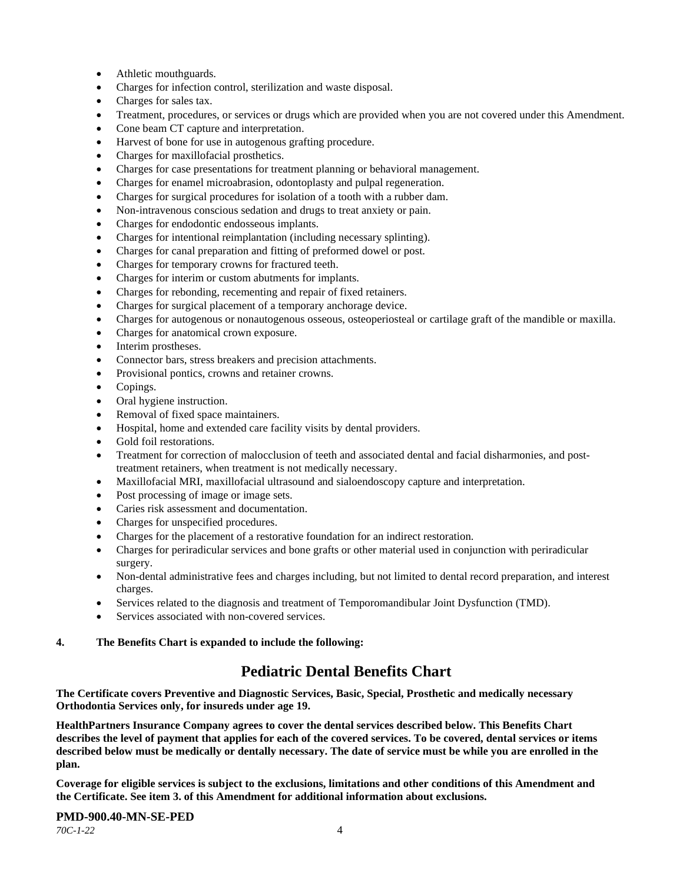- Athletic mouthguards.
- Charges for infection control, sterilization and waste disposal.
- Charges for sales tax.
- Treatment, procedures, or services or drugs which are provided when you are not covered under this Amendment.
- Cone beam CT capture and interpretation.
- Harvest of bone for use in autogenous grafting procedure.
- Charges for maxillofacial prosthetics.
- Charges for case presentations for treatment planning or behavioral management.
- Charges for enamel microabrasion, odontoplasty and pulpal regeneration.
- Charges for surgical procedures for isolation of a tooth with a rubber dam.
- Non-intravenous conscious sedation and drugs to treat anxiety or pain.
- Charges for endodontic endosseous implants.
- Charges for intentional reimplantation (including necessary splinting).
- Charges for canal preparation and fitting of preformed dowel or post.
- Charges for temporary crowns for fractured teeth.
- Charges for interim or custom abutments for implants.
- Charges for rebonding, recementing and repair of fixed retainers.
- Charges for surgical placement of a temporary anchorage device.
- Charges for autogenous or nonautogenous osseous, osteoperiosteal or cartilage graft of the mandible or maxilla.
- Charges for anatomical crown exposure.
- Interim prostheses.
- Connector bars, stress breakers and precision attachments.
- Provisional pontics, crowns and retainer crowns.
- Copings.
- Oral hygiene instruction.
- Removal of fixed space maintainers.
- Hospital, home and extended care facility visits by dental providers.
- Gold foil restorations.
- Treatment for correction of malocclusion of teeth and associated dental and facial disharmonies, and posttreatment retainers, when treatment is not medically necessary.
- Maxillofacial MRI, maxillofacial ultrasound and sialoendoscopy capture and interpretation.
- Post processing of image or image sets.
- Caries risk assessment and documentation.
- Charges for unspecified procedures.
- Charges for the placement of a restorative foundation for an indirect restoration.
- Charges for periradicular services and bone grafts or other material used in conjunction with periradicular surgery.
- Non-dental administrative fees and charges including, but not limited to dental record preparation, and interest charges.
- Services related to the diagnosis and treatment of Temporomandibular Joint Dysfunction (TMD).
- Services associated with non-covered services.

#### **4. The Benefits Chart is expanded to include the following:**

## **Pediatric Dental Benefits Chart**

**The Certificate covers Preventive and Diagnostic Services, Basic, Special, Prosthetic and medically necessary Orthodontia Services only, for insureds under age 19.**

**HealthPartners Insurance Company agrees to cover the dental services described below. This Benefits Chart describes the level of payment that applies for each of the covered services. To be covered, dental services or items described below must be medically or dentally necessary. The date of service must be while you are enrolled in the plan.**

**Coverage for eligible services is subject to the exclusions, limitations and other conditions of this Amendment and the Certificate. See item 3. of this Amendment for additional information about exclusions.**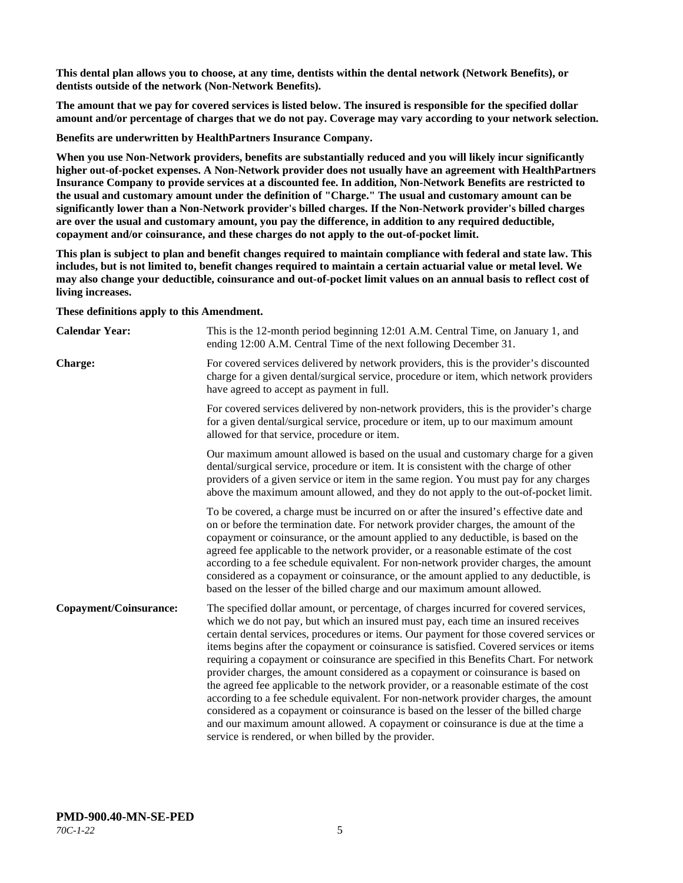**This dental plan allows you to choose, at any time, dentists within the dental network (Network Benefits), or dentists outside of the network (Non-Network Benefits).**

**The amount that we pay for covered services is listed below. The insured is responsible for the specified dollar amount and/or percentage of charges that we do not pay. Coverage may vary according to your network selection.**

**Benefits are underwritten by HealthPartners Insurance Company.**

**When you use Non-Network providers, benefits are substantially reduced and you will likely incur significantly higher out-of-pocket expenses. A Non-Network provider does not usually have an agreement with HealthPartners Insurance Company to provide services at a discounted fee. In addition, Non-Network Benefits are restricted to the usual and customary amount under the definition of "Charge." The usual and customary amount can be significantly lower than a Non-Network provider's billed charges. If the Non-Network provider's billed charges are over the usual and customary amount, you pay the difference, in addition to any required deductible, copayment and/or coinsurance, and these charges do not apply to the out-of-pocket limit.**

**This plan is subject to plan and benefit changes required to maintain compliance with federal and state law. This includes, but is not limited to, benefit changes required to maintain a certain actuarial value or metal level. We may also change your deductible, coinsurance and out-of-pocket limit values on an annual basis to reflect cost of living increases.**

**These definitions apply to this Amendment.**

| <b>Calendar Year:</b>  | This is the 12-month period beginning 12:01 A.M. Central Time, on January 1, and<br>ending 12:00 A.M. Central Time of the next following December 31.                                                                                                                                                                                                                                                                                                                                                                                                                                                                                                                                                                                                                                                                                                                                                                                                                 |
|------------------------|-----------------------------------------------------------------------------------------------------------------------------------------------------------------------------------------------------------------------------------------------------------------------------------------------------------------------------------------------------------------------------------------------------------------------------------------------------------------------------------------------------------------------------------------------------------------------------------------------------------------------------------------------------------------------------------------------------------------------------------------------------------------------------------------------------------------------------------------------------------------------------------------------------------------------------------------------------------------------|
| <b>Charge:</b>         | For covered services delivered by network providers, this is the provider's discounted<br>charge for a given dental/surgical service, procedure or item, which network providers<br>have agreed to accept as payment in full.                                                                                                                                                                                                                                                                                                                                                                                                                                                                                                                                                                                                                                                                                                                                         |
|                        | For covered services delivered by non-network providers, this is the provider's charge<br>for a given dental/surgical service, procedure or item, up to our maximum amount<br>allowed for that service, procedure or item.                                                                                                                                                                                                                                                                                                                                                                                                                                                                                                                                                                                                                                                                                                                                            |
|                        | Our maximum amount allowed is based on the usual and customary charge for a given<br>dental/surgical service, procedure or item. It is consistent with the charge of other<br>providers of a given service or item in the same region. You must pay for any charges<br>above the maximum amount allowed, and they do not apply to the out-of-pocket limit.                                                                                                                                                                                                                                                                                                                                                                                                                                                                                                                                                                                                            |
|                        | To be covered, a charge must be incurred on or after the insured's effective date and<br>on or before the termination date. For network provider charges, the amount of the<br>copayment or coinsurance, or the amount applied to any deductible, is based on the<br>agreed fee applicable to the network provider, or a reasonable estimate of the cost<br>according to a fee schedule equivalent. For non-network provider charges, the amount<br>considered as a copayment or coinsurance, or the amount applied to any deductible, is<br>based on the lesser of the billed charge and our maximum amount allowed.                                                                                                                                                                                                                                                                                                                                                 |
| Copayment/Coinsurance: | The specified dollar amount, or percentage, of charges incurred for covered services,<br>which we do not pay, but which an insured must pay, each time an insured receives<br>certain dental services, procedures or items. Our payment for those covered services or<br>items begins after the copayment or coinsurance is satisfied. Covered services or items<br>requiring a copayment or coinsurance are specified in this Benefits Chart. For network<br>provider charges, the amount considered as a copayment or coinsurance is based on<br>the agreed fee applicable to the network provider, or a reasonable estimate of the cost<br>according to a fee schedule equivalent. For non-network provider charges, the amount<br>considered as a copayment or coinsurance is based on the lesser of the billed charge<br>and our maximum amount allowed. A copayment or coinsurance is due at the time a<br>service is rendered, or when billed by the provider. |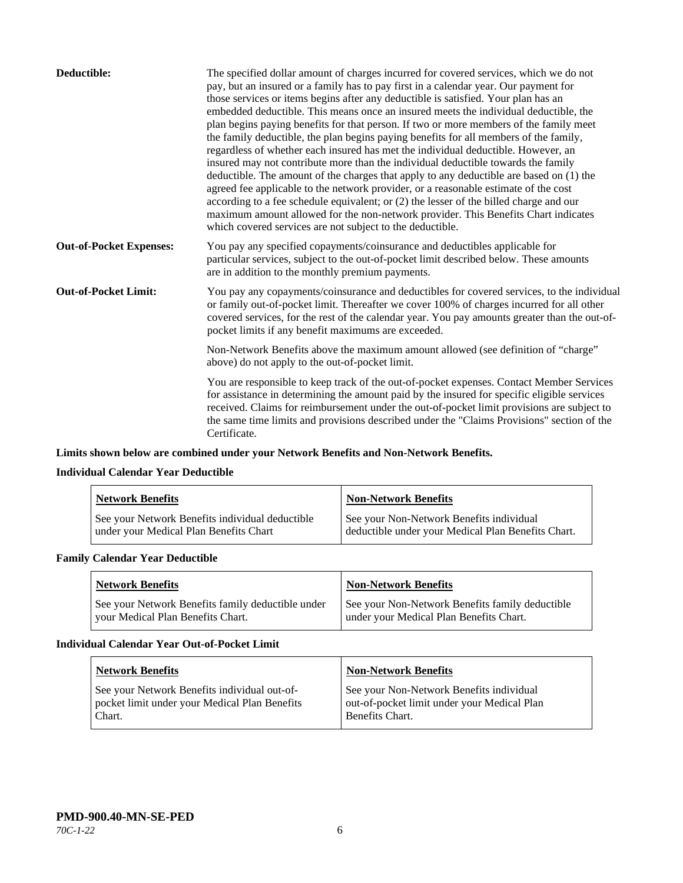| Deductible:                    | The specified dollar amount of charges incurred for covered services, which we do not<br>pay, but an insured or a family has to pay first in a calendar year. Our payment for<br>those services or items begins after any deductible is satisfied. Your plan has an<br>embedded deductible. This means once an insured meets the individual deductible, the<br>plan begins paying benefits for that person. If two or more members of the family meet<br>the family deductible, the plan begins paying benefits for all members of the family,<br>regardless of whether each insured has met the individual deductible. However, an<br>insured may not contribute more than the individual deductible towards the family<br>deductible. The amount of the charges that apply to any deductible are based on (1) the<br>agreed fee applicable to the network provider, or a reasonable estimate of the cost<br>according to a fee schedule equivalent; or (2) the lesser of the billed charge and our<br>maximum amount allowed for the non-network provider. This Benefits Chart indicates<br>which covered services are not subject to the deductible. |
|--------------------------------|---------------------------------------------------------------------------------------------------------------------------------------------------------------------------------------------------------------------------------------------------------------------------------------------------------------------------------------------------------------------------------------------------------------------------------------------------------------------------------------------------------------------------------------------------------------------------------------------------------------------------------------------------------------------------------------------------------------------------------------------------------------------------------------------------------------------------------------------------------------------------------------------------------------------------------------------------------------------------------------------------------------------------------------------------------------------------------------------------------------------------------------------------------|
| <b>Out-of-Pocket Expenses:</b> | You pay any specified copayments/coinsurance and deductibles applicable for<br>particular services, subject to the out-of-pocket limit described below. These amounts<br>are in addition to the monthly premium payments.                                                                                                                                                                                                                                                                                                                                                                                                                                                                                                                                                                                                                                                                                                                                                                                                                                                                                                                               |
| <b>Out-of-Pocket Limit:</b>    | You pay any copayments/coinsurance and deductibles for covered services, to the individual<br>or family out-of-pocket limit. Thereafter we cover 100% of charges incurred for all other<br>covered services, for the rest of the calendar year. You pay amounts greater than the out-of-<br>pocket limits if any benefit maximums are exceeded.                                                                                                                                                                                                                                                                                                                                                                                                                                                                                                                                                                                                                                                                                                                                                                                                         |
|                                | Non-Network Benefits above the maximum amount allowed (see definition of "charge"<br>above) do not apply to the out-of-pocket limit.                                                                                                                                                                                                                                                                                                                                                                                                                                                                                                                                                                                                                                                                                                                                                                                                                                                                                                                                                                                                                    |
|                                | You are responsible to keep track of the out-of-pocket expenses. Contact Member Services<br>for assistance in determining the amount paid by the insured for specific eligible services<br>received. Claims for reimbursement under the out-of-pocket limit provisions are subject to<br>the same time limits and provisions described under the "Claims Provisions" section of the<br>Certificate.                                                                                                                                                                                                                                                                                                                                                                                                                                                                                                                                                                                                                                                                                                                                                     |

## **Limits shown below are combined under your Network Benefits and Non-Network Benefits.**

## **Individual Calendar Year Deductible**

| <b>Network Benefits</b>                                                                   | <b>Non-Network Benefits</b>                                                                    |
|-------------------------------------------------------------------------------------------|------------------------------------------------------------------------------------------------|
| See your Network Benefits individual deductible<br>under your Medical Plan Benefits Chart | See your Non-Network Benefits individual<br>deductible under your Medical Plan Benefits Chart. |

## **Family Calendar Year Deductible**

| <b>Network Benefits</b>                                                                | <b>Non-Network Benefits</b>                                                                |
|----------------------------------------------------------------------------------------|--------------------------------------------------------------------------------------------|
| See your Network Benefits family deductible under<br>vour Medical Plan Benefits Chart. | See your Non-Network Benefits family deductible<br>under your Medical Plan Benefits Chart. |

#### **Individual Calendar Year Out-of-Pocket Limit**

| <b>Network Benefits</b>                                                                                 | <b>Non-Network Benefits</b>                                                                                |
|---------------------------------------------------------------------------------------------------------|------------------------------------------------------------------------------------------------------------|
| See your Network Benefits individual out-of-<br>pocket limit under your Medical Plan Benefits<br>Chart. | See your Non-Network Benefits individual<br>out-of-pocket limit under your Medical Plan<br>Benefits Chart. |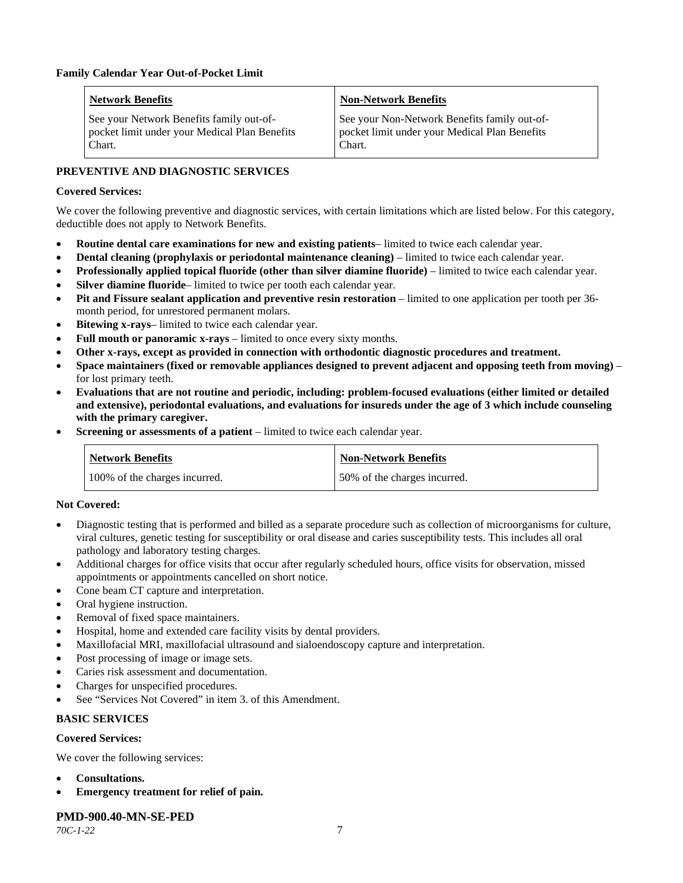| <b>Network Benefits</b>                                                                             | <b>Non-Network Benefits</b>                                                                             |
|-----------------------------------------------------------------------------------------------------|---------------------------------------------------------------------------------------------------------|
| See your Network Benefits family out-of-<br>pocket limit under your Medical Plan Benefits<br>Chart. | See your Non-Network Benefits family out-of-<br>pocket limit under your Medical Plan Benefits<br>Chart. |

## **PREVENTIVE AND DIAGNOSTIC SERVICES**

#### **Covered Services:**

We cover the following preventive and diagnostic services, with certain limitations which are listed below. For this category, deductible does not apply to Network Benefits.

- **Routine dental care examinations for new and existing patients** limited to twice each calendar year.
- **Dental cleaning (prophylaxis or periodontal maintenance cleaning)** limited to twice each calendar year.
- **Professionally applied topical fluoride (other than silver diamine fluoride)** limited to twice each calendar year.
- **Silver diamine fluoride** limited to twice per tooth each calendar year.
- **Pit and Fissure sealant application and preventive resin restoration** limited to one application per tooth per 36 month period, for unrestored permanent molars.
- Bitewing x-rays- limited to twice each calendar year.
- **Full mouth or panoramic x-rays** limited to once every sixty months.
- **Other x-rays, except as provided in connection with orthodontic diagnostic procedures and treatment.**
- **Space maintainers (fixed or removable appliances designed to prevent adjacent and opposing teeth from moving)** for lost primary teeth.
- **Evaluations that are not routine and periodic, including: problem-focused evaluations (either limited or detailed and extensive), periodontal evaluations, and evaluations for insureds under the age of 3 which include counseling with the primary caregiver.**
- **Screening or assessments of a patient** limited to twice each calendar year.

| Network Benefits              | <b>Non-Network Benefits</b>  |
|-------------------------------|------------------------------|
| 100% of the charges incurred. | 50% of the charges incurred. |

#### **Not Covered:**

- Diagnostic testing that is performed and billed as a separate procedure such as collection of microorganisms for culture, viral cultures, genetic testing for susceptibility or oral disease and caries susceptibility tests. This includes all oral pathology and laboratory testing charges.
- Additional charges for office visits that occur after regularly scheduled hours, office visits for observation, missed appointments or appointments cancelled on short notice.
- Cone beam CT capture and interpretation.
- Oral hygiene instruction.
- Removal of fixed space maintainers.
- Hospital, home and extended care facility visits by dental providers.
- Maxillofacial MRI, maxillofacial ultrasound and sialoendoscopy capture and interpretation.
- Post processing of image or image sets.
- Caries risk assessment and documentation.
- Charges for unspecified procedures.
- See "Services Not Covered" in item 3. of this Amendment.

#### **BASIC SERVICES**

#### **Covered Services:**

We cover the following services:

- **Consultations.**
- **Emergency treatment for relief of pain.**

## **PMD-900.40-MN-SE-PED**

*70C-1-22* 7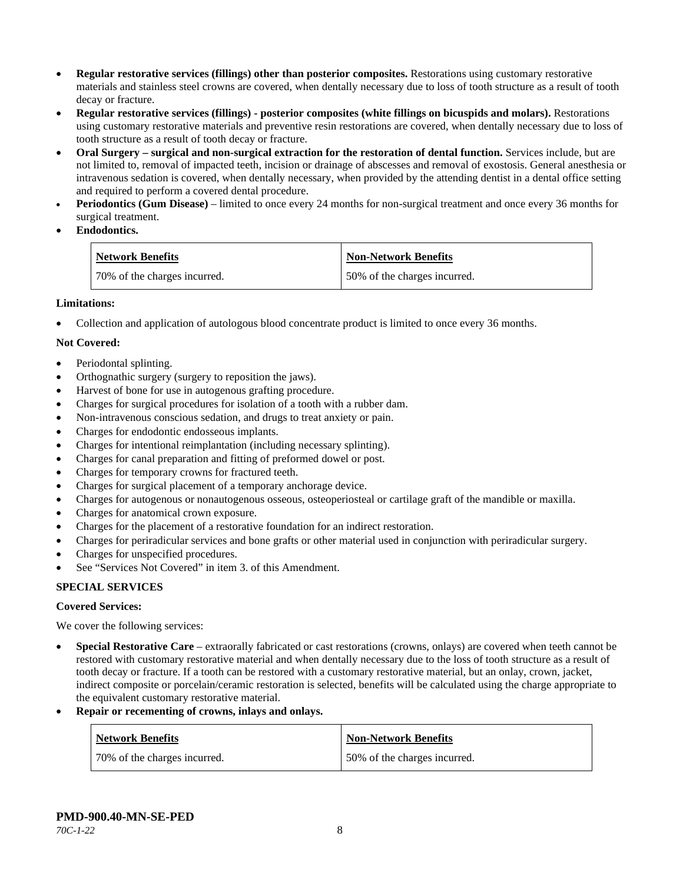- **Regular restorative services (fillings) other than posterior composites.** Restorations using customary restorative materials and stainless steel crowns are covered, when dentally necessary due to loss of tooth structure as a result of tooth decay or fracture.
- **Regular restorative services (fillings) - posterior composites (white fillings on bicuspids and molars).** Restorations using customary restorative materials and preventive resin restorations are covered, when dentally necessary due to loss of tooth structure as a result of tooth decay or fracture.
- **Oral Surgery – surgical and non-surgical extraction for the restoration of dental function.** Services include, but are not limited to, removal of impacted teeth, incision or drainage of abscesses and removal of exostosis. General anesthesia or intravenous sedation is covered, when dentally necessary, when provided by the attending dentist in a dental office setting and required to perform a covered dental procedure.
- **Periodontics (Gum Disease)** limited to once every 24 months for non-surgical treatment and once every 36 months for surgical treatment.
- **Endodontics.**

| <b>Network Benefits</b>      | Non-Network Benefits         |
|------------------------------|------------------------------|
| 70% of the charges incurred. | 50% of the charges incurred. |

## **Limitations:**

• Collection and application of autologous blood concentrate product is limited to once every 36 months.

## **Not Covered:**

- Periodontal splinting.
- Orthognathic surgery (surgery to reposition the jaws).
- Harvest of bone for use in autogenous grafting procedure.
- Charges for surgical procedures for isolation of a tooth with a rubber dam.
- Non-intravenous conscious sedation, and drugs to treat anxiety or pain.
- Charges for endodontic endosseous implants.
- Charges for intentional reimplantation (including necessary splinting).
- Charges for canal preparation and fitting of preformed dowel or post.
- Charges for temporary crowns for fractured teeth.
- Charges for surgical placement of a temporary anchorage device.
- Charges for autogenous or nonautogenous osseous, osteoperiosteal or cartilage graft of the mandible or maxilla.
- Charges for anatomical crown exposure.
- Charges for the placement of a restorative foundation for an indirect restoration.
- Charges for periradicular services and bone grafts or other material used in conjunction with periradicular surgery.
- Charges for unspecified procedures.
- See "Services Not Covered" in item 3. of this Amendment.

## **SPECIAL SERVICES**

#### **Covered Services:**

We cover the following services:

- **Special Restorative Care** extraorally fabricated or cast restorations (crowns, onlays) are covered when teeth cannot be restored with customary restorative material and when dentally necessary due to the loss of tooth structure as a result of tooth decay or fracture. If a tooth can be restored with a customary restorative material, but an onlay, crown, jacket, indirect composite or porcelain/ceramic restoration is selected, benefits will be calculated using the charge appropriate to the equivalent customary restorative material.
- **Repair or recementing of crowns, inlays and onlays.**

| <b>Network Benefits</b>      | <b>Non-Network Benefits</b>  |
|------------------------------|------------------------------|
| 70% of the charges incurred. | 50% of the charges incurred. |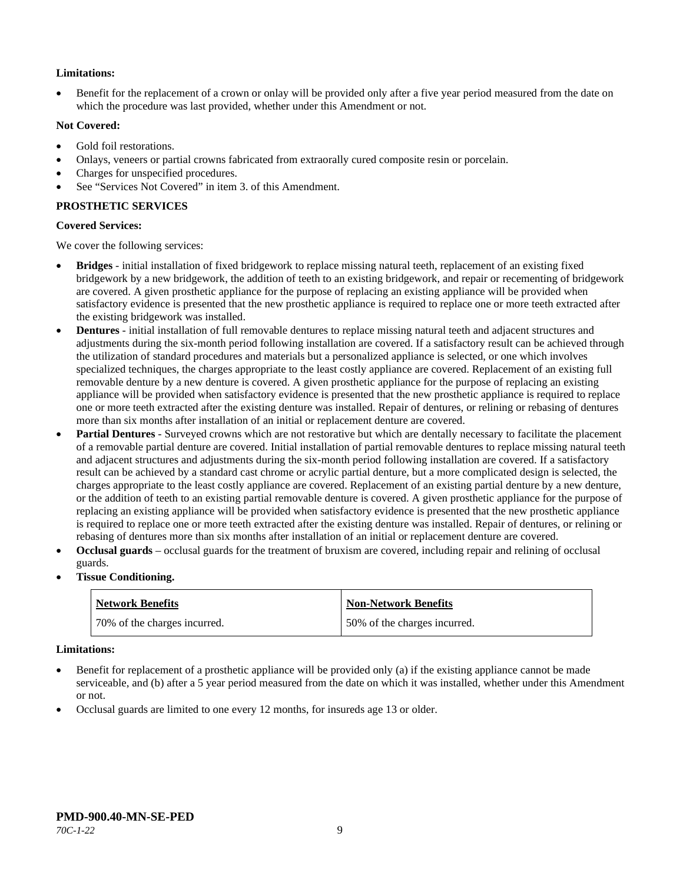## **Limitations:**

• Benefit for the replacement of a crown or onlay will be provided only after a five year period measured from the date on which the procedure was last provided, whether under this Amendment or not.

#### **Not Covered:**

- Gold foil restorations.
- Onlays, veneers or partial crowns fabricated from extraorally cured composite resin or porcelain.
- Charges for unspecified procedures.
- See "Services Not Covered" in item 3. of this Amendment.

## **PROSTHETIC SERVICES**

#### **Covered Services:**

We cover the following services:

- **Bridges** initial installation of fixed bridgework to replace missing natural teeth, replacement of an existing fixed bridgework by a new bridgework, the addition of teeth to an existing bridgework, and repair or recementing of bridgework are covered. A given prosthetic appliance for the purpose of replacing an existing appliance will be provided when satisfactory evidence is presented that the new prosthetic appliance is required to replace one or more teeth extracted after the existing bridgework was installed.
- **Dentures** initial installation of full removable dentures to replace missing natural teeth and adjacent structures and adjustments during the six-month period following installation are covered. If a satisfactory result can be achieved through the utilization of standard procedures and materials but a personalized appliance is selected, or one which involves specialized techniques, the charges appropriate to the least costly appliance are covered. Replacement of an existing full removable denture by a new denture is covered. A given prosthetic appliance for the purpose of replacing an existing appliance will be provided when satisfactory evidence is presented that the new prosthetic appliance is required to replace one or more teeth extracted after the existing denture was installed. Repair of dentures, or relining or rebasing of dentures more than six months after installation of an initial or replacement denture are covered.
- **Partial Dentures** Surveyed crowns which are not restorative but which are dentally necessary to facilitate the placement of a removable partial denture are covered. Initial installation of partial removable dentures to replace missing natural teeth and adjacent structures and adjustments during the six-month period following installation are covered. If a satisfactory result can be achieved by a standard cast chrome or acrylic partial denture, but a more complicated design is selected, the charges appropriate to the least costly appliance are covered. Replacement of an existing partial denture by a new denture, or the addition of teeth to an existing partial removable denture is covered. A given prosthetic appliance for the purpose of replacing an existing appliance will be provided when satisfactory evidence is presented that the new prosthetic appliance is required to replace one or more teeth extracted after the existing denture was installed. Repair of dentures, or relining or rebasing of dentures more than six months after installation of an initial or replacement denture are covered.
- **Occlusal guards** occlusal guards for the treatment of bruxism are covered, including repair and relining of occlusal guards.
- **Tissue Conditioning.**

| <b>Network Benefits</b>      | <b>Non-Network Benefits</b>  |
|------------------------------|------------------------------|
| 70% of the charges incurred. | 50% of the charges incurred. |

#### **Limitations:**

- Benefit for replacement of a prosthetic appliance will be provided only (a) if the existing appliance cannot be made serviceable, and (b) after a 5 year period measured from the date on which it was installed, whether under this Amendment or not.
- Occlusal guards are limited to one every 12 months, for insureds age 13 or older.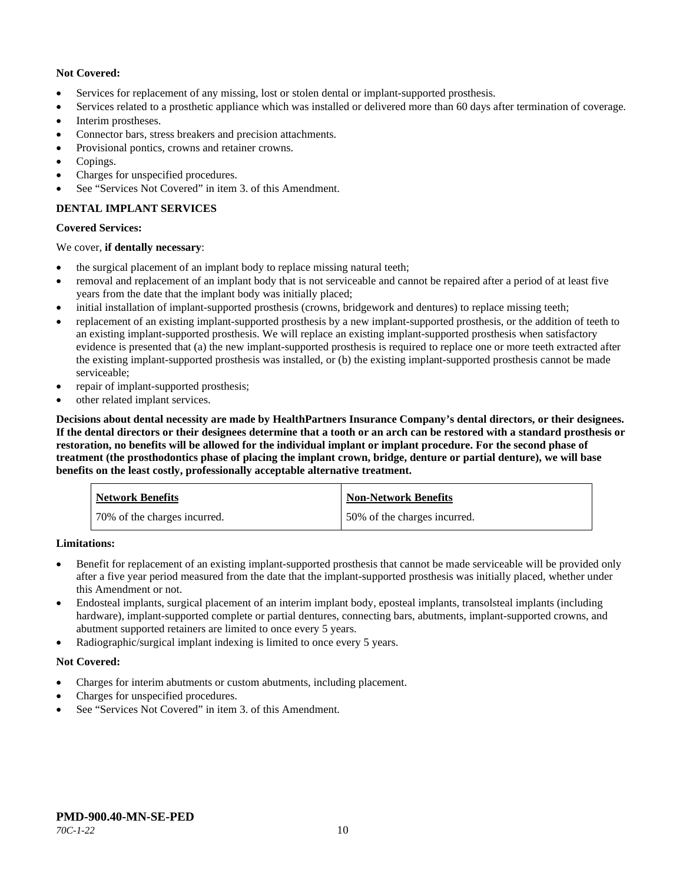## **Not Covered:**

- Services for replacement of any missing, lost or stolen dental or implant-supported prosthesis.
- Services related to a prosthetic appliance which was installed or delivered more than 60 days after termination of coverage.
- Interim prostheses.
- Connector bars, stress breakers and precision attachments.
- Provisional pontics, crowns and retainer crowns.
- Copings.
- Charges for unspecified procedures.
- See "Services Not Covered" in item 3. of this Amendment.

## **DENTAL IMPLANT SERVICES**

## **Covered Services:**

## We cover, **if dentally necessary**:

- the surgical placement of an implant body to replace missing natural teeth;
- removal and replacement of an implant body that is not serviceable and cannot be repaired after a period of at least five years from the date that the implant body was initially placed;
- initial installation of implant-supported prosthesis (crowns, bridgework and dentures) to replace missing teeth;
- replacement of an existing implant-supported prosthesis by a new implant-supported prosthesis, or the addition of teeth to an existing implant-supported prosthesis. We will replace an existing implant-supported prosthesis when satisfactory evidence is presented that (a) the new implant-supported prosthesis is required to replace one or more teeth extracted after the existing implant-supported prosthesis was installed, or (b) the existing implant-supported prosthesis cannot be made serviceable;
- repair of implant-supported prosthesis;
- other related implant services.

**Decisions about dental necessity are made by HealthPartners Insurance Company's dental directors, or their designees. If the dental directors or their designees determine that a tooth or an arch can be restored with a standard prosthesis or restoration, no benefits will be allowed for the individual implant or implant procedure. For the second phase of treatment (the prosthodontics phase of placing the implant crown, bridge, denture or partial denture), we will base benefits on the least costly, professionally acceptable alternative treatment.**

| <b>Network Benefits</b>      | <b>Non-Network Benefits</b>  |
|------------------------------|------------------------------|
| 70% of the charges incurred. | 50% of the charges incurred. |

**Limitations:**

- Benefit for replacement of an existing implant-supported prosthesis that cannot be made serviceable will be provided only after a five year period measured from the date that the implant-supported prosthesis was initially placed, whether under this Amendment or not.
- Endosteal implants, surgical placement of an interim implant body, eposteal implants, transolsteal implants (including hardware), implant-supported complete or partial dentures, connecting bars, abutments, implant-supported crowns, and abutment supported retainers are limited to once every 5 years.
- Radiographic/surgical implant indexing is limited to once every 5 years.

## **Not Covered:**

- Charges for interim abutments or custom abutments, including placement.
- Charges for unspecified procedures.
- See "Services Not Covered" in item 3. of this Amendment.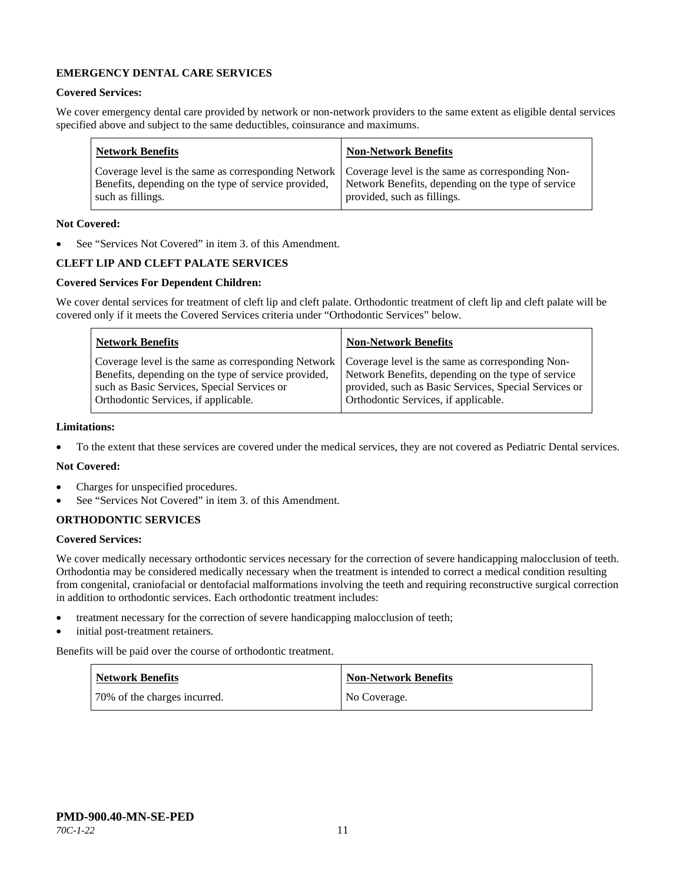## **EMERGENCY DENTAL CARE SERVICES**

#### **Covered Services:**

We cover emergency dental care provided by network or non-network providers to the same extent as eligible dental services specified above and subject to the same deductibles, coinsurance and maximums.

| <b>Network Benefits</b>                                                                                                                                                                                                                | <b>Non-Network Benefits</b> |
|----------------------------------------------------------------------------------------------------------------------------------------------------------------------------------------------------------------------------------------|-----------------------------|
| Coverage level is the same as corresponding Network   Coverage level is the same as corresponding Non-<br>Benefits, depending on the type of service provided, Network Benefits, depending on the type of service<br>such as fillings. | provided, such as fillings. |

## **Not Covered:**

See "Services Not Covered" in item 3. of this Amendment.

## **CLEFT LIP AND CLEFT PALATE SERVICES**

## **Covered Services For Dependent Children:**

We cover dental services for treatment of cleft lip and cleft palate. Orthodontic treatment of cleft lip and cleft palate will be covered only if it meets the Covered Services criteria under "Orthodontic Services" below.

| <b>Network Benefits</b>                                                                                                                                                                                                                               | <b>Non-Network Benefits</b>                                                                                                                         |
|-------------------------------------------------------------------------------------------------------------------------------------------------------------------------------------------------------------------------------------------------------|-----------------------------------------------------------------------------------------------------------------------------------------------------|
| Coverage level is the same as corresponding Network   Coverage level is the same as corresponding Non-<br>Benefits, depending on the type of service provided,<br>such as Basic Services, Special Services or<br>Orthodontic Services, if applicable. | Network Benefits, depending on the type of service<br>provided, such as Basic Services, Special Services or<br>Orthodontic Services, if applicable. |

#### **Limitations:**

• To the extent that these services are covered under the medical services, they are not covered as Pediatric Dental services.

## **Not Covered:**

- Charges for unspecified procedures.
- See "Services Not Covered" in item 3. of this Amendment.

#### **ORTHODONTIC SERVICES**

#### **Covered Services:**

We cover medically necessary orthodontic services necessary for the correction of severe handicapping malocclusion of teeth. Orthodontia may be considered medically necessary when the treatment is intended to correct a medical condition resulting from congenital, craniofacial or dentofacial malformations involving the teeth and requiring reconstructive surgical correction in addition to orthodontic services. Each orthodontic treatment includes:

- treatment necessary for the correction of severe handicapping malocclusion of teeth;
- initial post-treatment retainers.

Benefits will be paid over the course of orthodontic treatment.

| <b>Network Benefits</b>      | Non-Network Benefits |
|------------------------------|----------------------|
| 70% of the charges incurred. | No Coverage.         |